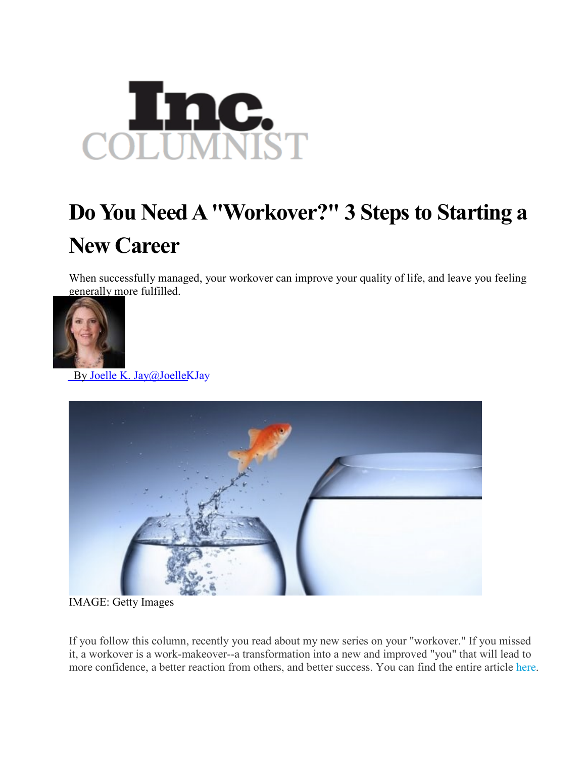

## **Do You Need A "Workover?" 3 Steps to Starting a New Career**

When successfully managed, your workover can improve your quality of life, and leave you feeling generally more fulfilled.



By Joelle K. [Jay@JoelleKJay](http://www.inc.com/author/joelle-k-jay)



IMAGE: Getty Images

If you follow this column, recently you read about my new series on your "workover." If you missed it, a workover is a work-makeover--a transformation into a new and improved "you" that will lead to more confidence, a better reaction from others, and better success. You can find the entire article [here.](http://joellekjay.com/wp-content/uploads/2012/04/Do-You-Need-a-Workover.pdf)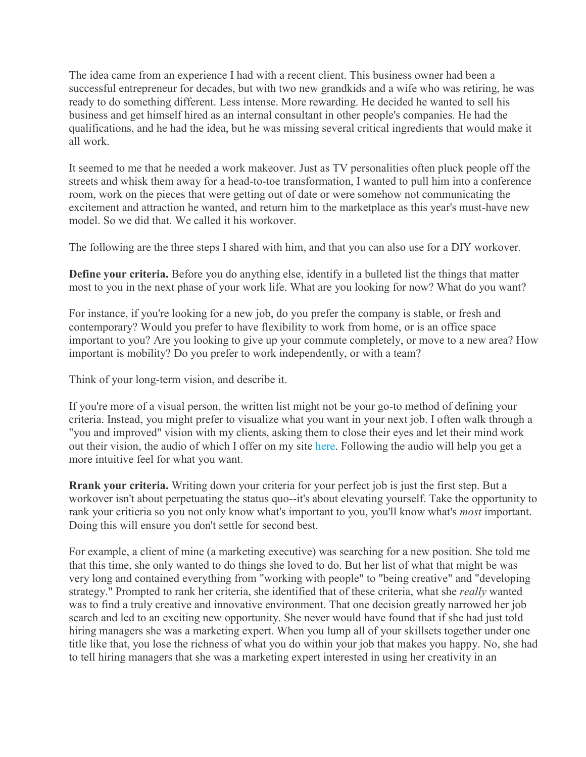The idea came from an experience I had with a recent client. This business owner had been a successful entrepreneur for decades, but with two new grandkids and a wife who was retiring, he was ready to do something different. Less intense. More rewarding. He decided he wanted to sell his business and get himself hired as an internal consultant in other people's companies. He had the qualifications, and he had the idea, but he was missing several critical ingredients that would make it all work.

It seemed to me that he needed a work makeover. Just as TV personalities often pluck people off the streets and whisk them away for a head-to-toe transformation, I wanted to pull him into a conference room, work on the pieces that were getting out of date or were somehow not communicating the excitement and attraction he wanted, and return him to the marketplace as this year's must-have new model. So we did that. We called it his workover.

The following are the three steps I shared with him, and that you can also use for a DIY workover.

**Define your criteria.** Before you do anything else, identify in a bulleted list the things that matter most to you in the next phase of your work life. What are you looking for now? What do you want?

For instance, if you're looking for a new job, do you prefer the company is stable, or fresh and contemporary? Would you prefer to have flexibility to work from home, or is an office space important to you? Are you looking to give up your commute completely, or move to a new area? How important is mobility? Do you prefer to work independently, or with a team?

Think of your long-term vision, and describe it.

If you're more of a visual person, the written list might not be your go-to method of defining your criteria. Instead, you might prefer to visualize what you want in your next job. I often walk through a "you and improved" vision with my clients, asking them to close their eyes and let their mind work out their vision, the audio of which I offer on my site [here.](http://joellekjay.com/documents/09090495-you-and-improved-audio.mp3) Following the audio will help you get a more intuitive feel for what you want.

**Rrank your criteria.** Writing down your criteria for your perfect job is just the first step. But a workover isn't about perpetuating the status quo--it's about elevating yourself. Take the opportunity to rank your critieria so you not only know what's important to you, you'll know what's *most* important. Doing this will ensure you don't settle for second best.

For example, a client of mine (a marketing executive) was searching for a new position. She told me that this time, she only wanted to do things she loved to do. But her list of what that might be was very long and contained everything from "working with people" to "being creative" and "developing strategy." Prompted to rank her criteria, she identified that of these criteria, what she *really* wanted was to find a truly creative and innovative environment. That one decision greatly narrowed her job search and led to an exciting new opportunity. She never would have found that if she had just told hiring managers she was a marketing expert. When you lump all of your skillsets together under one title like that, you lose the richness of what you do within your job that makes you happy. No, she had to tell hiring managers that she was a marketing expert interested in using her creativity in an